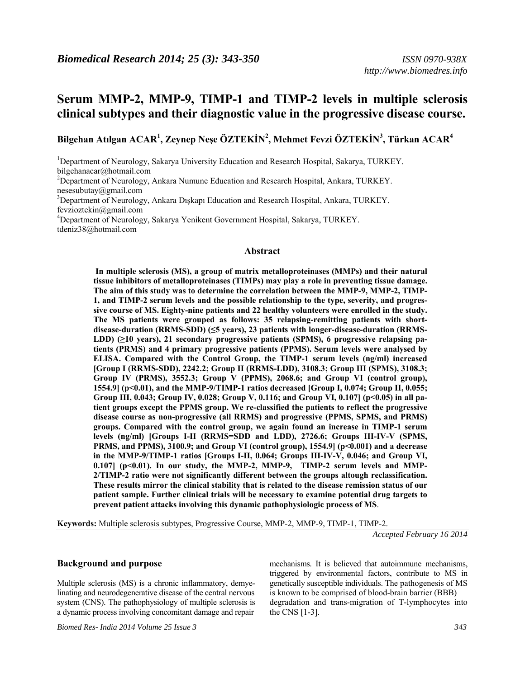# *http://www.biomedres.info*

# **Serum MMP-2, MMP-9, TIMP-1 and TIMP-2 levels in multiple sclerosis clinical subtypes and their diagnostic value in the progressive disease course.**

**Bilgehan Atılgan ACAR<sup>1</sup> , Zeynep Neşe ÖZTEKİN<sup>2</sup> , Mehmet Fevzi ÖZTEKİN<sup>3</sup> , Türkan ACAR<sup>4</sup>**

<sup>1</sup>Department of Neurology, Sakarya University Education and Research Hospital, Sakarya, TURKEY. bilgehanacar@hotmail.com <sup>2</sup>Department of Neurology, Ankara Numune Education and Research Hospital, Ankara, TURKEY.

nesesubutay@gmail.com

<sup>3</sup>Department of Neurology, Ankara Dışkapı Education and Research Hospital, Ankara, TURKEY. fevzioztekin@gmail.com

4 Department of Neurology, Sakarya Yenikent Government Hospital, Sakarya, TURKEY. tdeniz38@hotmail.com

#### **Abstract**

**In multiple sclerosis (MS), a group of matrix metalloproteinases (MMPs) and their natural tissue inhibitors of metalloproteinases (TIMPs) may play a role in preventing tissue damage. The aim of this study was to determine the correlation between the MMP-9, MMP-2, TIMP-1, and TIMP-2 serum levels and the possible relationship to the type, severity, and progressive course of MS. Eighty-nine patients and 22 healthy volunteers were enrolled in the study. The MS patients were grouped as follows: 35 relapsing-remitting patients with shortdisease-duration (RRMS-SDD) (≤5 years), 23 patients with longer-disease-duration (RRMS-LDD) (≥10 years), 21 secondary progressive patients (SPMS), 6 progressive relapsing patients (PRMS) and 4 primary progressive patients (PPMS). Serum levels were analysed by ELISA. Compared with the Control Group, the TIMP-1 serum levels (ng/ml) increased [Group I (RRMS-SDD), 2242.2; Group II (RRMS-LDD), 3108.3; Group III (SPMS), 3108.3; Group IV (PRMS), 3552.3; Group V (PPMS), 2068.6; and Group VI (control group), 1554.9] (p<0.01), and the MMP-9/TIMP-1 ratios decreased [Group I, 0.074; Group II, 0.055; Group III, 0.043; Group IV, 0.028; Group V, 0.116; and Group VI, 0.107] (p<0.05) in all patient groups except the PPMS group. We re-classified the patients to reflect the progressive disease course as non-progressive (all RRMS) and progressive (PPMS, SPMS, and PRMS) groups. Compared with the control group, we again found an increase in TIMP-1 serum levels (ng/ml) [Groups I-II (RRMS=SDD and LDD), 2726.6; Groups III-IV-V (SPMS, PRMS, and PPMS), 3100.9; and Group VI (control group), 1554.9] (p<0.001) and a decrease in the MMP-9/TIMP-1 ratios [Groups I-II, 0.064; Groups III-IV-V, 0.046; and Group VI, 0.107] (p<0.01). In our study, the MMP-2, MMP-9, TIMP-2 serum levels and MMP-2/TIMP-2 ratio were not significantly different between the groups altough reclassification. These results mirror the clinical stability that is related to the disease remission status of our patient sample. Further clinical trials will be necessary to examine potential drug targets to prevent patient attacks involving this dynamic pathophysiologic process of MS**.

**Keywords:** Multiple sclerosis subtypes, Progressive Course, MMP-2, MMP-9, TIMP-1, TIMP-2.

*Accepted February 16 2014* 

#### **Background and purpose**

Multiple sclerosis (MS) is a chronic inflammatory, demyelinating and neurodegenerative disease of the central nervous system (CNS). The pathophysiology of multiple sclerosis is a dynamic process involving concomitant damage and repair

*Biomed Res- India 2014 Volume 25 Issue 3 343* 

mechanisms. It is believed that autoimmune mechanisms, triggered by environmental factors, contribute to MS in genetically susceptible individuals. The pathogenesis of MS is known to be comprised of blood-brain barrier (BBB) degradation and trans-migration of T-lymphocytes into the CNS [1-3].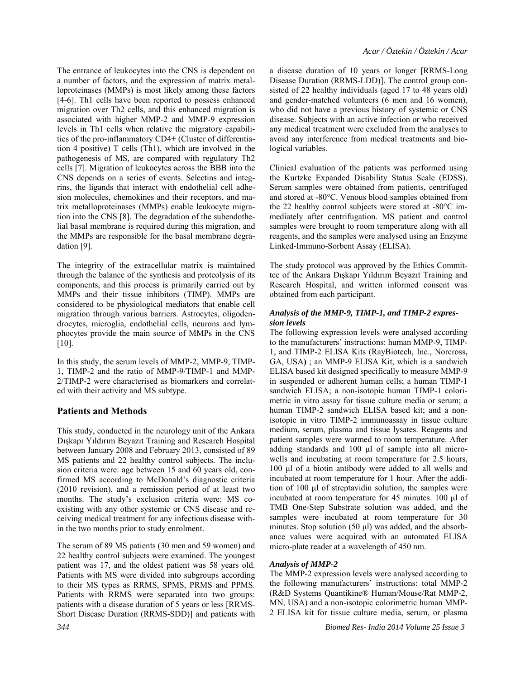The entrance of leukocytes into the CNS is dependent on a number of factors, and the expression of matrix metalloproteinases (MMPs) is most likely among these factors [4-6]. Th1 cells have been reported to possess enhanced migration over Th2 cells, and this enhanced migration is associated with higher MMP-2 and MMP-9 expression levels in Th1 cells when relative the migratory capabilities of the pro-inflammatory CD4+ (Cluster of differentiation 4 positive) T cells (Th1), which are involved in the pathogenesis of MS, are compared with regulatory Th2 cells [7]. Migration of leukocytes across the BBB into the CNS depends on a series of events. Selectins and integrins, the ligands that interact with endothelial cell adhesion molecules, chemokines and their receptors, and matrix metalloproteinases (MMPs) enable leukocyte migration into the CNS [8]. The degradation of the subendothelial basal membrane is required during this migration, and the MMPs are responsible for the basal membrane degradation [9].

The integrity of the extracellular matrix is maintained through the balance of the synthesis and proteolysis of its components, and this process is primarily carried out by MMPs and their tissue inhibitors (TIMP). MMPs are considered to be physiological mediators that enable cell migration through various barriers. Astrocytes, oligodendrocytes, microglia, endothelial cells, neurons and lymphocytes provide the main source of MMPs in the CNS [10].

In this study, the serum levels of MMP-2, MMP-9, TIMP-1, TIMP-2 and the ratio of MMP-9/TIMP-1 and MMP-2/TIMP-2 were characterised as biomarkers and correlated with their activity and MS subtype.

# **Patients and Methods**

This study, conducted in the neurology unit of the Ankara Dışkapı Yıldırım Beyazıt Training and Research Hospital between January 2008 and February 2013, consisted of 89 MS patients and 22 healthy control subjects. The inclusion criteria were: age between 15 and 60 years old, confirmed MS according to McDonald's diagnostic criteria (2010 revision), and a remission period of at least two months. The study's exclusion criteria were: MS coexisting with any other systemic or CNS disease and receiving medical treatment for any infectious disease within the two months prior to study enrolment.

The serum of 89 MS patients (30 men and 59 women) and 22 healthy control subjects were examined. The youngest patient was 17, and the oldest patient was 58 years old. Patients with MS were divided into subgroups according to their MS types as RRMS, SPMS, PRMS and PPMS. Patients with RRMS were separated into two groups: patients with a disease duration of 5 years or less [RRMS-Short Disease Duration (RRMS-SDD)] and patients with

a disease duration of 10 years or longer [RRMS-Long Disease Duration (RRMS-LDD)]. The control group consisted of 22 healthy individuals (aged 17 to 48 years old) and gender-matched volunteers (6 men and 16 women), who did not have a previous history of systemic or CNS disease. Subjects with an active infection or who received any medical treatment were excluded from the analyses to avoid any interference from medical treatments and biological variables.

Clinical evaluation of the patients was performed using the Kurtzke Expanded Disability Status Scale (EDSS). Serum samples were obtained from patients, centrifuged and stored at -80°C. Venous blood samples obtained from the 22 healthy control subjects were stored at -80°C immediately after centrifugation. MS patient and control samples were brought to room temperature along with all reagents, and the samples were analysed using an Enzyme Linked-Immuno-Sorbent Assay (ELISA).

The study protocol was approved by the Ethics Committee of the Ankara Dışkapı Yıldırım Beyazıt Training and Research Hospital, and written informed consent was obtained from each participant.

#### *Analysis of the MMP-9, TIMP-1, and TIMP-2 expression levels*

The following expression levels were analysed according to the manufacturers' instructions: human MMP-9, TIMP-1, and TIMP-2 ELISA Kits (RayBiotech, Inc., Norcross**,**  GA, USA**)** ; an MMP-9 ELISA Kit, which is a sandwich ELISA based kit designed specifically to measure MMP-9 in suspended or adherent human cells; a human TIMP-1 sandwich ELISA; a non-isotopic human TIMP-1 colorimetric in vitro assay for tissue culture media or serum; a human TIMP-2 sandwich ELISA based kit; and a nonisotopic in vitro TIMP-2 immunoassay in tissue culture medium, serum, plasma and tissue lysates. Reagents and patient samples were warmed to room temperature. After adding standards and 100 μl of sample into all microwells and incubating at room temperature for 2.5 hours, 100 μl of a biotin antibody were added to all wells and incubated at room temperature for 1 hour. After the addition of 100 μl of streptavidin solution, the samples were incubated at room temperature for 45 minutes. 100 μl of TMB One-Step Substrate solution was added, and the samples were incubated at room temperature for 30 minutes. Stop solution (50 μl) was added, and the absorbance values were acquired with an automated ELISA micro-plate reader at a wavelength of 450 nm.

# *Analysis of MMP-2*

The MMP-2 expression levels were analysed according to the following manufacturers' instructions: total MMP-2 (R&D Systems Quantikine® Human/Mouse/Rat MMP-2, MN, USA) and a non-isotopic colorimetric human MMP-2 ELISA kit for tissue culture media, serum, or plasma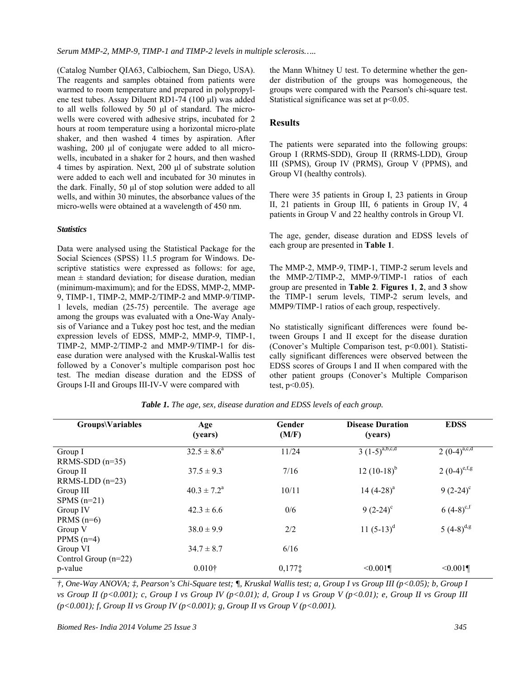(Catalog Number QIA63, Calbiochem, San Diego, USA). The reagents and samples obtained from patients were warmed to room temperature and prepared in polypropylene test tubes. Assay Diluent RD1-74 (100 μl) was added to all wells followed by 50 μl of standard. The microwells were covered with adhesive strips, incubated for 2 hours at room temperature using a horizontal micro-plate shaker, and then washed 4 times by aspiration. After washing, 200 μl of conjugate were added to all microwells, incubated in a shaker for 2 hours, and then washed 4 times by aspiration. Next, 200 μl of substrate solution were added to each well and incubated for 30 minutes in the dark. Finally, 50 μl of stop solution were added to all wells, and within 30 minutes, the absorbance values of the micro-wells were obtained at a wavelength of 450 nm.

#### *Statistics*

Data were analysed using the Statistical Package for the Social Sciences (SPSS) 11.5 program for Windows. Descriptive statistics were expressed as follows: for age, mean  $\pm$  standard deviation; for disease duration, median (minimum-maximum); and for the EDSS, MMP-2, MMP-9, TIMP-1, TIMP-2, MMP-2/TIMP-2 and MMP-9/TIMP-1 levels, median (25-75) percentile. The average age among the groups was evaluated with a One-Way Analysis of Variance and a Tukey post hoc test, and the median expression levels of EDSS, MMP-2, MMP-9, TIMP-1, TIMP-2, MMP-2/TIMP-2 and MMP-9/TIMP-1 for disease duration were analysed with the Kruskal-Wallis test followed by a Conover's multiple comparison post hoc test. The median disease duration and the EDSS of Groups I-II and Groups III-IV-V were compared with

the Mann Whitney U test. To determine whether the gender distribution of the groups was homogeneous, the groups were compared with the Pearson's chi-square test. Statistical significance was set at  $p<0.05$ .

# **Results**

The patients were separated into the following groups: Group I (RRMS-SDD), Group II (RRMS-LDD), Group III (SPMS), Group IV (PRMS), Group V (PPMS), and Group VI (healthy controls).

There were 35 patients in Group I, 23 patients in Group II, 21 patients in Group III, 6 patients in Group IV, 4 patients in Group V and 22 healthy controls in Group VI.

The age, gender, disease duration and EDSS levels of each group are presented in **Table 1**.

The MMP-2, MMP-9, TIMP-1, TIMP-2 serum levels and the MMP-2/TIMP-2, MMP-9/TIMP-1 ratios of each group are presented in **Table 2**. **Figures 1**, **2**, and **3** show the TIMP-1 serum levels, TIMP-2 serum levels, and MMP9/TIMP-1 ratios of each group, respectively.

No statistically significant differences were found between Groups I and II except for the disease duration (Conover's Multiple Comparison test, p<0.001). Statistically significant differences were observed between the EDSS scores of Groups I and II when compared with the other patient groups (Conover's Multiple Comparison test,  $p<0.05$ ).

| <b>Groups\Variables</b> | Age<br>(years)         | Gender<br>(M/F) | <b>Disease Duration</b><br>(years) | <b>EDSS</b>      |
|-------------------------|------------------------|-----------------|------------------------------------|------------------|
| Group I                 | $32.5 \pm 8.6^a$       | 11/24           | $3(1-5)^{a,b,c,d}$                 | $2(0-4)^{a,c,d}$ |
| RRMS-SDD $(n=35)$       |                        |                 |                                    |                  |
| Group II                | $37.5 \pm 9.3$         | 7/16            | 12 $(10-18)^{b}$                   | $2(0-4)^{e,f,g}$ |
| $RRMS-LDD (n=23)$       |                        |                 |                                    |                  |
| Group III               | $40.3 \pm 7.2^{\circ}$ | 10/11           | 14 $(4-28)^a$                      | $9(2-24)^{c}$    |
| $SPMS$ (n=21)           |                        |                 |                                    |                  |
| Group IV                | $42.3 \pm 6.6$         | 0/6             | $9(2-24)^{\circ}$                  | 6 $(4-8)^{c,f}$  |
| PRMS $(n=6)$            |                        |                 |                                    |                  |
| Group V                 | $38.0 \pm 9.9$         | 2/2             | 11 $(5-13)^d$                      | $5(4-8)^{d,g}$   |
| PPMS $(n=4)$            |                        |                 |                                    |                  |
| Group VI                | $34.7 \pm 8.7$         | 6/16            |                                    |                  |
| Control Group $(n=22)$  |                        |                 |                                    |                  |
| p-value                 | $0.010\dagger$         | $0,177$ ‡       | < 0.001                            | < 0.001          |
|                         |                        |                 |                                    |                  |

*Table 1. The age, sex, disease duration and EDSS levels of each group.* 

*†, One-Way ANOVA; ‡, Pearson's Chi-Square test; ¶, Kruskal Wallis test; a, Group I vs Group III (p<0.05); b, Group I vs Group II (p<0.001); c, Group I vs Group IV (p<0.01); d, Group I vs Group V (p<0.01); e, Group II vs Group III (p<0.001); f, Group II vs Group IV (p<0.001); g, Group II vs Group V (p<0.001).*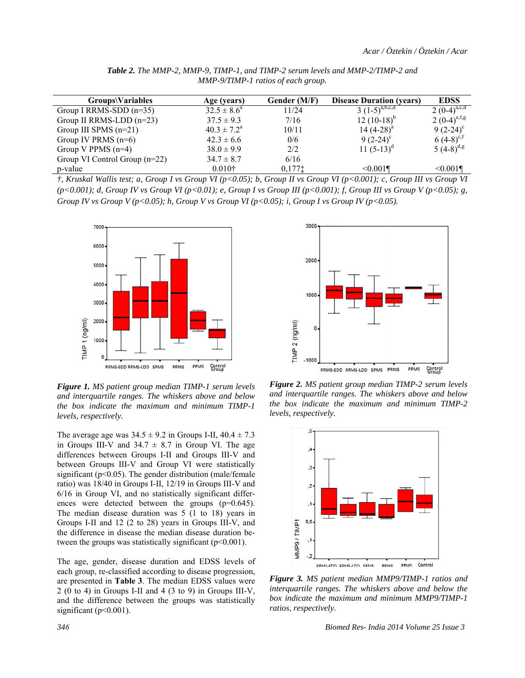| Groups\Variables                | Age (years)            | Gender (M/F) | <b>Disease Duration (years)</b> | <b>EDSS</b>       |
|---------------------------------|------------------------|--------------|---------------------------------|-------------------|
| Group I RRMS-SDD $(n=35)$       | $32.5 \pm 8.6^4$       | 11/24        | $3(1-5)^{a,b,c,d}$              | $2(0-4)^{a,c,d}$  |
| Group II RRMS-LDD $(n=23)$      | $37.5 \pm 9.3$         | 7/16         | $12(10-18)^{b}$                 | 2 $(0-4)^{e,f,g}$ |
| Group III SPMS $(n=21)$         | $40.3 \pm 7.2^{\circ}$ | 10/11        | 14 $(4-28)^a$                   | $9(2-24)^{c}$     |
| Group IV PRMS $(n=6)$           | $42.3 \pm 6.6$         | 0/6          | $9(2-24)^{c}$                   | $(4-8)^{c,t}$     |
| Group V PPMS $(n=4)$            | $38.0 \pm 9.9$         | 2/2          | 11 $(5-13)^d$                   | 5 $(4-8)^{d,g}$   |
| Group VI Control Group $(n=22)$ | $34.7 \pm 8.7$         | 6/16         |                                 |                   |
| p-value                         | 0.010 <sup>†</sup>     | 0,1771       | $\leq 0.001$                    | < 0.001           |

*Table 2. The MMP-2, MMP-9, TIMP-1, and TIMP-2 serum levels and MMP-2/TIMP-2 and MMP-9/TIMP-1 ratios of each group.* 

*†, Kruskal Wallis test; a, Group I vs Group VI (p<0.05); b, Group II vs Group VI (p<0.001); c, Group III vs Group VI (p<0.001); d, Group IV vs Group VI (p<0.01); e, Group I vs Group III (p<0.001); f, Group III vs Group V (p<0.05); g,*  Group IV vs Group V (p<0.05); h, Group V vs Group VI (p<0.05); i, Group I vs Group IV (p<0.05).



*Figure 1. MS patient group median TIMP-1 serum levels and interquartile ranges. The whiskers above and below the box indicate the maximum and minimum TIMP-1 levels, respectively.*

The average age was  $34.5 \pm 9.2$  in Groups I-II,  $40.4 \pm 7.3$ in Groups III-V and  $34.7 \pm 8.7$  in Group VI. The age differences between Groups I-II and Groups III-V and between Groups III-V and Group VI were statistically significant ( $p<0.05$ ). The gender distribution (male/female ratio) was 18/40 in Groups I-II, 12/19 in Groups III-V and 6/16 in Group VI, and no statistically significant differences were detected between the groups (p=0.645). The median disease duration was 5 (1 to 18) years in Groups I-II and 12 (2 to 28) years in Groups III-V, and the difference in disease the median disease duration between the groups was statistically significant  $(p<0.001)$ .

The age, gender, disease duration and EDSS levels of each group, re-classified according to disease progression, are presented in **Table 3**. The median EDSS values were 2 (0 to 4) in Groups I-II and 4 (3 to 9) in Groups III-V, and the difference between the groups was statistically significant ( $p<0.001$ ).



*Figure 2. MS patient group median TIMP-2 serum levels and interquartile ranges. The whiskers above and below the box indicate the maximum and minimum TIMP-2 levels, respectively.*



*Figure 3. MS patient median MMP9/TIMP-1 ratios and interquartile ranges. The whiskers above and below the box indicate the maximum and minimum MMP9/TIMP-1 ratios, respectively.*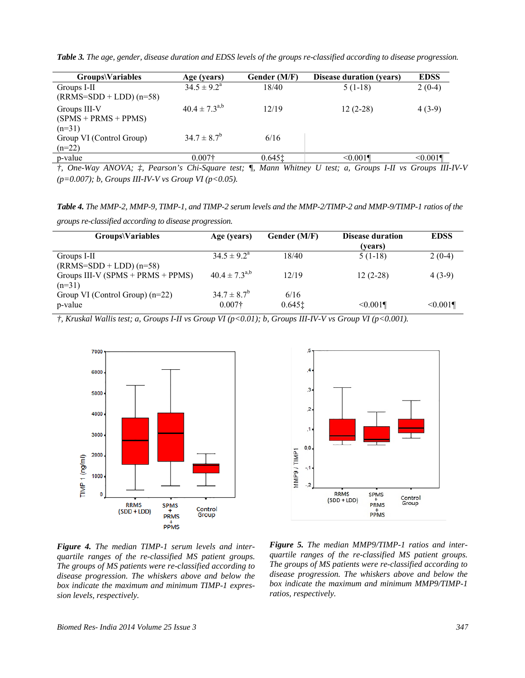*Table 3. The age, gender, disease duration and EDSS levels of the groups re-classified according to disease progression.* 

| Groups\Variables                                   | Age (years)            | Gender (M/F)         | <b>Disease duration (vears)</b> | <b>EDSS</b> |
|----------------------------------------------------|------------------------|----------------------|---------------------------------|-------------|
| Groups I-II                                        | $34.5 \pm 9.2^{\circ}$ | 18/40                | $5(1-18)$                       | $2(0-4)$    |
| $(RRMS=SDD + LDD)$ (n=58)                          |                        |                      |                                 |             |
| Groups III-V<br>$(SPMS + PRMS + PPMS)$<br>$(n=31)$ | $40.4 \pm 7.3^{a,b}$   | 12/19                | $12(2-28)$                      | $4(3-9)$    |
| Group VI (Control Group)<br>$(n=22)$               | $34.7 \pm 8.7^b$       | 6/16                 |                                 |             |
| p-value                                            | $0.007+$               | $0.645$ <sup>t</sup> | < 0.001                         | < 0.001     |

*†, One-Way ANOVA; ‡, Pearson's Chi-Square test; ¶, Mann Whitney U test; a, Groups I-II vs Groups III-IV-V (p=0.007); b, Groups III-IV-V vs Group VI (p<0.05).* 

*Table 4. The MMP-2, MMP-9, TIMP-1, and TIMP-2 serum levels and the MMP-2/TIMP-2 and MMP-9/TIMP-1 ratios of the* 

*groups re-classified according to disease progression.* 

| Groups\Variables                                  | Age (years)                        | Gender (M/F)      | <b>Disease duration</b><br>(vears) | <b>EDSS</b> |
|---------------------------------------------------|------------------------------------|-------------------|------------------------------------|-------------|
| Groups I-II<br>$(RRMS=SDD + LDD)$ (n=58)          | $34.5 \pm 9.2^{\circ}$             | 18/40             | $5(1-18)$                          | $2(0-4)$    |
| Groups III-V ( $SPMS + PRMS + PPMS$ )<br>$(n=31)$ | $40.4 \pm 7.3^{a,b}$               | 12/19             | $12(2-28)$                         | $4(3-9)$    |
| Group VI (Control Group) $(n=22)$<br>p-value      | $34.7 \pm 8.7^b$<br>$0.007\dagger$ | 6/16<br>$0.645$ ‡ | < 0.001                            | < 0.001     |

*†, Kruskal Wallis test; a, Groups I-II vs Group VI (p<0.01); b, Groups III-IV-V vs Group VI (p<0.001).* 



*Figure 4. The median TIMP-1 serum levels and interquartile ranges of the re-classified MS patient groups. The groups of MS patients were re-classified according to disease progression. The whiskers above and below the box indicate the maximum and minimum TIMP-1 expression levels, respectively.*



*Figure 5. The median MMP9/TIMP-1 ratios and interquartile ranges of the re-classified MS patient groups. The groups of MS patients were re-classified according to disease progression. The whiskers above and below the box indicate the maximum and minimum MMP9/TIMP-1 ratios, respectively.*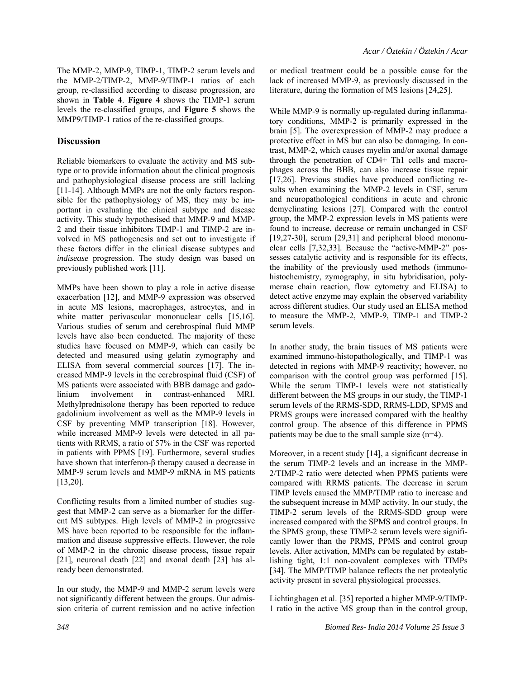The MMP-2, MMP-9, TIMP-1, TIMP-2 serum levels and the MMP-2/TIMP-2, MMP-9/TIMP-1 ratios of each group, re-classified according to disease progression, are shown in **Table 4**. **Figure 4** shows the TIMP-1 serum levels the re-classified groups, and **Figure 5** shows the MMP9/TIMP-1 ratios of the re-classified groups.

#### **Discussion**

Reliable biomarkers to evaluate the activity and MS subtype or to provide information about the clinical prognosis and pathophysiological disease process are still lacking [11-14]. Although MMPs are not the only factors responsible for the pathophysiology of MS, they may be important in evaluating the clinical subtype and disease activity. This study hypothesised that MMP-9 and MMP-2 and their tissue inhibitors TIMP-1 and TIMP-2 are involved in MS pathogenesis and set out to investigate if these factors differ in the clinical disease subtypes and *indisease* progression. The study design was based on previously published work [11].

MMPs have been shown to play a role in active disease exacerbation [12], and MMP-9 expression was observed in acute MS lesions, macrophages, astrocytes, and in white matter perivascular mononuclear cells [15,16]. Various studies of serum and cerebrospinal fluid MMP levels have also been conducted. The majority of these studies have focused on MMP-9, which can easily be detected and measured using gelatin zymography and ELISA from several commercial sources [17]. The increased MMP-9 levels in the cerebrospinal fluid (CSF) of MS patients were associated with BBB damage and gadolinium involvement in contrast-enhanced MRI. Methylprednisolone therapy has been reported to reduce gadolinium involvement as well as the MMP-9 levels in CSF by preventing MMP transcription [18]. However, while increased MMP-9 levels were detected in all patients with RRMS, a ratio of 57% in the CSF was reported in patients with PPMS [19]. Furthermore, several studies have shown that interferon-β therapy caused a decrease in MMP-9 serum levels and MMP-9 mRNA in MS patients [13,20].

Conflicting results from a limited number of studies suggest that MMP-2 can serve as a biomarker for the different MS subtypes. High levels of MMP-2 in progressive MS have been reported to be responsible for the inflammation and disease suppressive effects. However, the role of MMP-2 in the chronic disease process, tissue repair [21], neuronal death [22] and axonal death [23] has already been demonstrated.

In our study, the MMP-9 and MMP-2 serum levels were not significantly different between the groups. Our admission criteria of current remission and no active infection or medical treatment could be a possible cause for the lack of increased MMP-9, as previously discussed in the literature, during the formation of MS lesions [24,25].

While MMP-9 is normally up-regulated during inflammatory conditions, MMP-2 is primarily expressed in the brain [5]. The overexpression of MMP-2 may produce a protective effect in MS but can also be damaging. In contrast, MMP-2, which causes myelin and/or axonal damage through the penetration of CD4+ Th1 cells and macrophages across the BBB, can also increase tissue repair [17,26]. Previous studies have produced conflicting results when examining the MMP-2 levels in CSF, serum and neuropathological conditions in acute and chronic demyelinating lesions [27]. Compared with the control group, the MMP-2 expression levels in MS patients were found to increase, decrease or remain unchanged in CSF  $[19,27-30]$ , serum  $[29,31]$  and peripheral blood mononuclear cells [7,32,33]. Because the "active-MMP-2" possesses catalytic activity and is responsible for its effects, the inability of the previously used methods (immunohistochemistry, zymography, in situ hybridisation, polymerase chain reaction, flow cytometry and ELISA) to detect active enzyme may explain the observed variability across different studies. Our study used an ELISA method to measure the MMP-2, MMP-9, TIMP-1 and TIMP-2 serum levels.

In another study, the brain tissues of MS patients were examined immuno-histopathologically, and TIMP-1 was detected in regions with MMP-9 reactivity; however, no comparison with the control group was performed [15]. While the serum TIMP-1 levels were not statistically different between the MS groups in our study, the TIMP-1 serum levels of the RRMS-SDD, RRMS-LDD, SPMS and PRMS groups were increased compared with the healthy control group. The absence of this difference in PPMS patients may be due to the small sample size (n=4).

Moreover, in a recent study [14], a significant decrease in the serum TIMP-2 levels and an increase in the MMP-2/TIMP-2 ratio were detected when PPMS patients were compared with RRMS patients. The decrease in serum TIMP levels caused the MMP/TIMP ratio to increase and the subsequent increase in MMP activity. In our study, the TIMP-2 serum levels of the RRMS-SDD group were increased compared with the SPMS and control groups. In the SPMS group, these TIMP-2 serum levels were significantly lower than the PRMS, PPMS and control group levels. After activation, MMPs can be regulated by establishing tight, 1:1 non-covalent complexes with TIMPs [34]. The MMP/TIMP balance reflects the net proteolytic activity present in several physiological processes.

Lichtinghagen et al. [35] reported a higher MMP-9/TIMP-1 ratio in the active MS group than in the control group,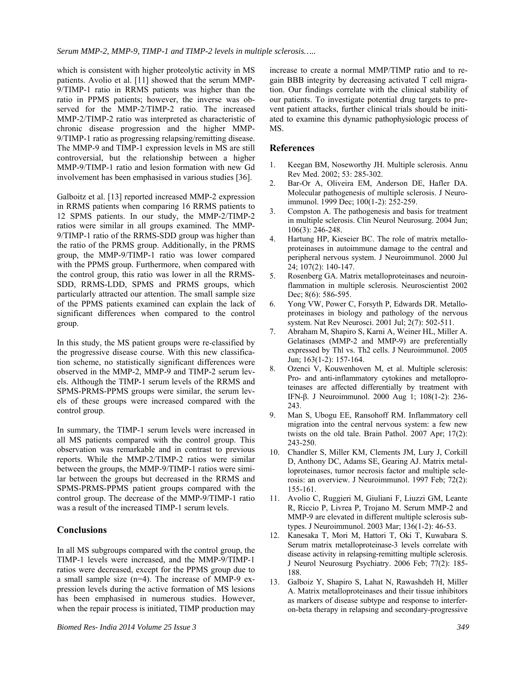which is consistent with higher proteolytic activity in MS patients. Avolio et al. [11] showed that the serum MMP-9/TIMP-1 ratio in RRMS patients was higher than the ratio in PPMS patients; however, the inverse was observed for the MMP-2/TIMP-2 ratio. The increased MMP-2/TIMP-2 ratio was interpreted as characteristic of chronic disease progression and the higher MMP-9/TIMP-1 ratio as progressing relapsing/remitting disease. The MMP-9 and TIMP-1 expression levels in MS are still controversial, but the relationship between a higher MMP-9/TIMP-1 ratio and lesion formation with new Gd involvement has been emphasised in various studies [36].

Galboitz et al. [13] reported increased MMP-2 expression in RRMS patients when comparing 16 RRMS patients to 12 SPMS patients. In our study, the MMP-2/TIMP-2 ratios were similar in all groups examined. The MMP-9/TIMP-1 ratio of the RRMS-SDD group was higher than the ratio of the PRMS group. Additionally, in the PRMS group, the MMP-9/TIMP-1 ratio was lower compared with the PPMS group. Furthermore, when compared with the control group, this ratio was lower in all the RRMS-SDD, RRMS-LDD, SPMS and PRMS groups, which particularly attracted our attention. The small sample size of the PPMS patients examined can explain the lack of significant differences when compared to the control group.

In this study, the MS patient groups were re-classified by the progressive disease course. With this new classification scheme, no statistically significant differences were observed in the MMP-2, MMP-9 and TIMP-2 serum levels. Although the TIMP-1 serum levels of the RRMS and SPMS-PRMS-PPMS groups were similar, the serum levels of these groups were increased compared with the control group.

In summary, the TIMP-1 serum levels were increased in all MS patients compared with the control group. This observation was remarkable and in contrast to previous reports. While the MMP-2/TIMP-2 ratios were similar between the groups, the MMP-9/TIMP-1 ratios were similar between the groups but decreased in the RRMS and SPMS-PRMS-PPMS patient groups compared with the control group. The decrease of the MMP-9/TIMP-1 ratio was a result of the increased TIMP-1 serum levels.

# **Conclusions**

In all MS subgroups compared with the control group, the TIMP-1 levels were increased, and the MMP-9/TIMP-1 ratios were decreased, except for the PPMS group due to a small sample size (n=4). The increase of MMP-9 expression levels during the active formation of MS lesions has been emphasised in numerous studies. However, when the repair process is initiated, TIMP production may increase to create a normal MMP/TIMP ratio and to regain BBB integrity by decreasing activated T cell migration. Our findings correlate with the clinical stability of our patients. To investigate potential drug targets to prevent patient attacks, further clinical trials should be initiated to examine this dynamic pathophysiologic process of MS.

#### **References**

- 1. Keegan BM, Noseworthy JH. Multiple sclerosis. Annu Rev Med. 2002; 53: 285-302.
- 2. Bar-Or A, Oliveira EM, Anderson DE, Hafler DA. Molecular pathogenesis of multiple sclerosis. J Neuroimmunol. 1999 Dec; 100(1-2): 252-259.
- 3. Compston A. The pathogenesis and basis for treatment in multiple sclerosis. Clin Neurol Neurosurg. 2004 Jun; 106(3): 246-248.
- 4. Hartung HP, Kieseier BC. The role of matrix metalloproteinases in autoimmune damage to the central and peripheral nervous system. J Neuroimmunol. 2000 Jul 24; 107(2): 140-147.
- 5. Rosenberg GA. Matrix metalloproteinases and neuroinflammation in multiple sclerosis. Neuroscientist 2002 Dec; 8(6): 586-595.
- 6. Yong VW, Power C, Forsyth P, Edwards DR. Metalloproteinases in biology and pathology of the nervous system. Nat Rev Neurosci. 2001 Jul; 2(7): 502-511.
- 7. Abraham M, Shapiro S, Karni A, Weiner HL, Miller A. Gelatinases (MMP-2 and MMP-9) are preferentially expressed by Thl vs. Th2 cells. J Neuroimmunol. 2005 Jun; 163(1-2): 157-164.
- 8. Ozenci V, Kouwenhoven M, et al. Multiple sclerosis: Pro- and anti-inflammatory cytokines and metalloproteinases are affected differentially by treatment with IFN-β. J Neuroimmunol. 2000 Aug 1; 108(1-2): 236- 243.
- 9. Man S, Ubogu EE, Ransohoff RM. Inflammatory cell migration into the central nervous system: a few new twists on the old tale. Brain Pathol. 2007 Apr; 17(2): 243-250.
- 10. Chandler S, Miller KM, Clements JM, Lury J, Corkill D, Anthony DC, Adams SE, Gearing AJ. Matrix metalloproteinases, tumor necrosis factor and multiple sclerosis: an overview. J Neuroimmunol. 1997 Feb; 72(2): 155-161.
- 11. Avolio C, Ruggieri M, Giuliani F, Liuzzi GM, Leante R, Riccio P, Livrea P, Trojano M. Serum MMP-2 and MMP-9 are elevated in different multiple sclerosis subtypes. J Neuroimmunol. 2003 Mar; 136(1-2): 46-53.
- 12. Kanesaka T, Mori M, Hattori T, Oki T, Kuwabara S. Serum matrix metalloproteinase-3 levels correlate with disease activity in relapsing-remitting multiple sclerosis. J Neurol Neurosurg Psychiatry. 2006 Feb; 77(2): 185- 188.
- 13. Galboiz Y, Shapiro S, Lahat N, Rawashdeh H, Miller A. Matrix metalloproteinases and their tissue inhibitors as markers of disease subtype and response to interferon-beta therapy in relapsing and secondary-progressive